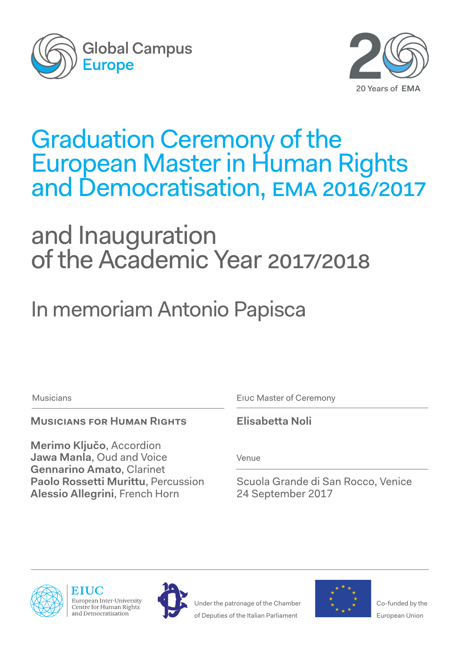



## Graduation Ceremony of the European Master in Human Rights and Democratisation, ema 2016/2017

# and Inauguration of the Academic Year 2017/2018

In memoriam Antonio Papisca

## **Musicians for Human Rights**

**Merimo Ključo**, Accordion **Jawa Manla**, Oud and Voice **Gennarino Amato**, Clarinet **Paolo Rossetti Murittu**, Percussion **Alessio Allegrini**, French Horn

Musicians Eiuc Master of Ceremony

**Elisabetta Noli**

Venue

Scuola Grande di San Rocco, Venice 24 September 2017



European Inter-University Centre for Human Rights and Democratisation



Under the patronage of the Chamber of Deputies of the Italian Parliament



Co-funded by the European Union